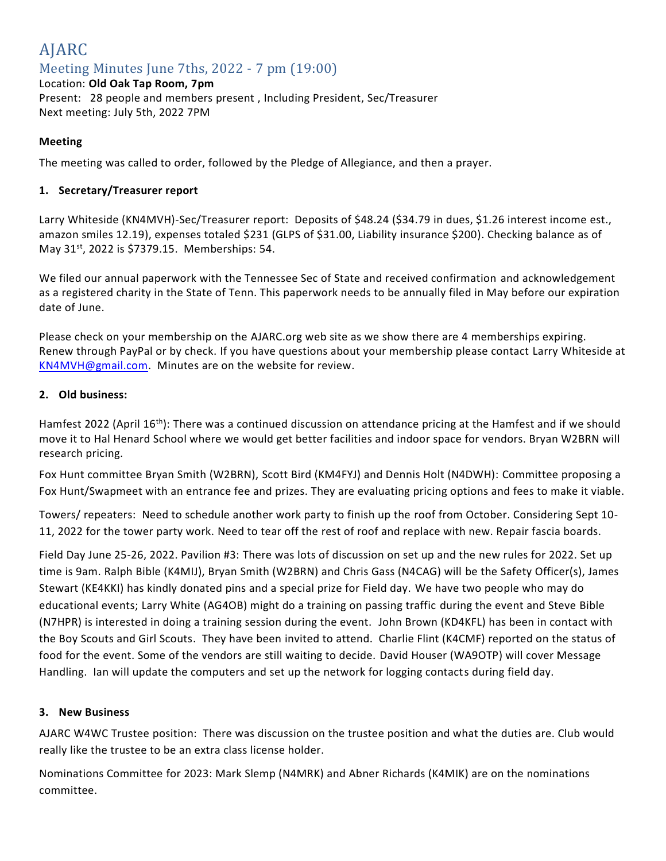# AJARC Meeting Minutes June 7ths, 2022 - 7 pm (19:00)

Location: **Old Oak Tap Room, 7pm** Present: 28 people and members present , Including President, Sec/Treasurer Next meeting: July 5th, 2022 7PM

# **Meeting**

The meeting was called to order, followed by the Pledge of Allegiance, and then a prayer.

## **1. Secretary/Treasurer report**

Larry Whiteside (KN4MVH)-Sec/Treasurer report: Deposits of \$48.24 (\$34.79 in dues, \$1.26 interest income est., amazon smiles 12.19), expenses totaled \$231 (GLPS of \$31.00, Liability insurance \$200). Checking balance as of May 31<sup>st</sup>, 2022 is \$7379.15. Memberships: 54.

We filed our annual paperwork with the Tennessee Sec of State and received confirmation and acknowledgement as a registered charity in the State of Tenn. This paperwork needs to be annually filed in May before our expiration date of June.

Please check on your membership on the AJARC.org web site as we show there are 4 memberships expiring. Renew through PayPal or by check. If you have questions about your membership please contact Larry Whiteside at [KN4MVH@gmail.com.](mailto:KN4MVH@gmail.com) Minutes are on the website for review.

### **2. Old business:**

Hamfest 2022 (April 16<sup>th</sup>): There was a continued discussion on attendance pricing at the Hamfest and if we should move it to Hal Henard School where we would get better facilities and indoor space for vendors. Bryan W2BRN will research pricing.

Fox Hunt committee Bryan Smith (W2BRN), Scott Bird (KM4FYJ) and Dennis Holt (N4DWH): Committee proposing a Fox Hunt/Swapmeet with an entrance fee and prizes. They are evaluating pricing options and fees to make it viable.

Towers/ repeaters: Need to schedule another work party to finish up the roof from October. Considering Sept 10- 11, 2022 for the tower party work. Need to tear off the rest of roof and replace with new. Repair fascia boards.

Field Day June 25-26, 2022. Pavilion #3: There was lots of discussion on set up and the new rules for 2022. Set up time is 9am. Ralph Bible (K4MIJ), Bryan Smith (W2BRN) and Chris Gass (N4CAG) will be the Safety Officer(s), James Stewart (KE4KKI) has kindly donated pins and a special prize for Field day. We have two people who may do educational events; Larry White (AG4OB) might do a training on passing traffic during the event and Steve Bible (N7HPR) is interested in doing a training session during the event. John Brown (KD4KFL) has been in contact with the Boy Scouts and Girl Scouts. They have been invited to attend. Charlie Flint (K4CMF) reported on the status of food for the event. Some of the vendors are still waiting to decide. David Houser (WA9OTP) will cover Message Handling. Ian will update the computers and set up the network for logging contacts during field day.

#### **3. New Business**

AJARC W4WC Trustee position: There was discussion on the trustee position and what the duties are. Club would really like the trustee to be an extra class license holder.

Nominations Committee for 2023: Mark Slemp (N4MRK) and Abner Richards (K4MIK) are on the nominations committee.